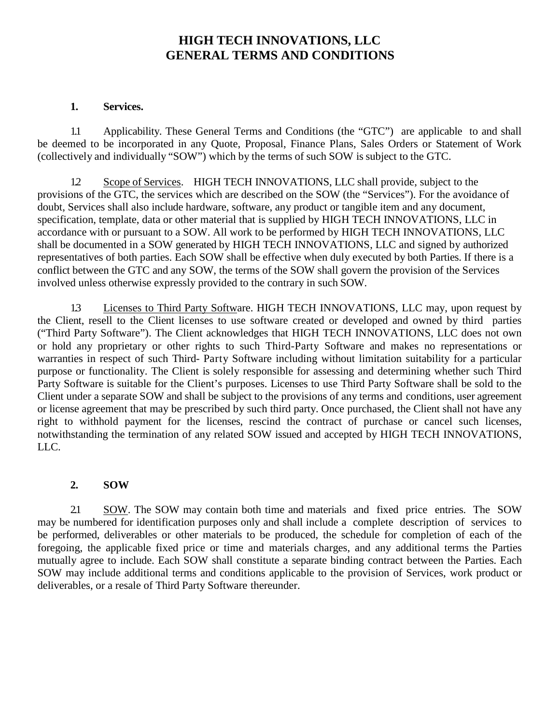# **HIGH TECH INNOVATIONS, LLC GENERAL TERMS AND CONDITIONS**

#### **1. Services.**

1.1 Applicability. These General Terms and Conditions (the "GTC") are applicable to and shall be deemed to be incorporated in any Quote, Proposal, Finance Plans, Sales Orders or Statement of Work (collectively and individually "SOW") which by the terms of such SOW is subject to the GTC.

1.2 Scope of Services. HIGH TECH INNOVATIONS, LLC shall provide, subject to the provisions of the GTC, the services which are described on the SOW (the "Services"). For the avoidance of doubt, Services shall also include hardware, software, any product or tangible item and any document, specification, template, data or other material that is supplied by HIGH TECH INNOVATIONS, LLC in accordance with or pursuant to a SOW. All work to be performed by HIGH TECH INNOVATIONS, LLC shall be documented in a SOW generated by HIGH TECH INNOVATIONS, LLC and signed by authorized representatives of both parties. Each SOW shall be effective when duly executed by both Parties. If there is a conflict between the GTC and any SOW, the terms of the SOW shall govern the provision of the Services involved unless otherwise expressly provided to the contrary in such SOW.

1.3 Licenses to Third Party Software. HIGH TECH INNOVATIONS, LLC may, upon request by the Client, resell to the Client licenses to use software created or developed and owned by third parties ("Third Party Software"). The Client acknowledges that HIGH TECH INNOVATIONS, LLC does not own or hold any proprietary or other rights to such Third-Party Software and makes no representations or warranties in respect of such Third- Party Software including without limitation suitability for a particular purpose or functionality. The Client is solely responsible for assessing and determining whether such Third Party Software is suitable for the Client's purposes. Licenses to use Third Party Software shall be sold to the Client under a separate SOW and shall be subject to the provisions of any terms and conditions, user agreement or license agreement that may be prescribed by such third party. Once purchased, the Client shall not have any right to withhold payment for the licenses, rescind the contract of purchase or cancel such licenses, notwithstanding the termination of any related SOW issued and accepted by HIGH TECH INNOVATIONS, LLC.

### **2. SOW**

2.1 SOW. The SOW may contain both time and materials and fixed price entries. The SOW may be numbered for identification purposes only and shall include a complete description of services to be performed, deliverables or other materials to be produced, the schedule for completion of each of the foregoing, the applicable fixed price or time and materials charges, and any additional terms the Parties mutually agree to include. Each SOW shall constitute a separate binding contract between the Parties. Each SOW may include additional terms and conditions applicable to the provision of Services, work product or deliverables, or a resale of Third Party Software thereunder.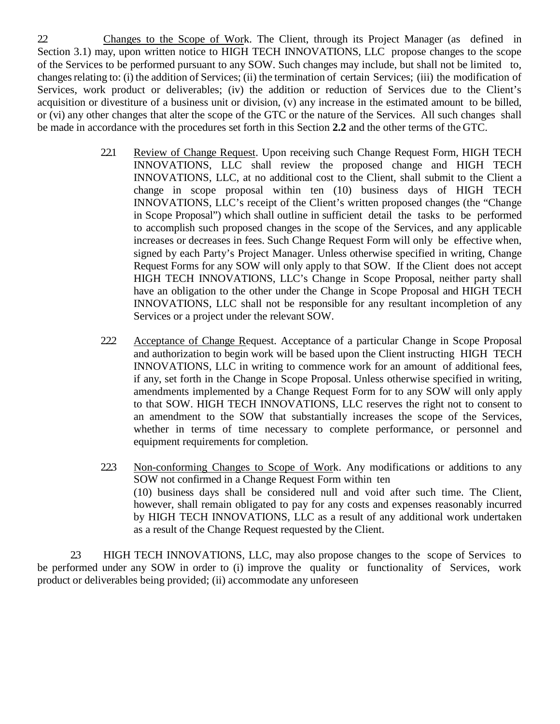2.2 Changes to the Scope of Work. The Client, through its Project Manager (as defined in Section 3.1) may, upon written notice to HIGH TECH INNOVATIONS, LLC propose changes to the scope of the Services to be performed pursuant to any SOW. Such changes may include, but shall not be limited to, changesrelating to: (i) the addition of Services; (ii) the termination of certain Services; (iii) the modification of Services, work product or deliverables; (iv) the addition or reduction of Services due to the Client's acquisition or divestiture of a business unit or division, (v) any increase in the estimated amount to be billed, or (vi) any other changes that alter the scope of the GTC or the nature of the Services. All such changes shall be made in accordance with the procedures set forth in this Section **2.2** and the other terms of the GTC.

- 2.2.1 Review of Change Request. Upon receiving such Change Request Form, HIGH TECH INNOVATIONS, LLC shall review the proposed change and HIGH TECH INNOVATIONS, LLC, at no additional cost to the Client, shall submit to the Client a change in scope proposal within ten (10) business days of HIGH TECH INNOVATIONS, LLC's receipt of the Client's written proposed changes (the "Change in Scope Proposal") which shall outline in sufficient detail the tasks to be performed to accomplish such proposed changes in the scope of the Services, and any applicable increases or decreases in fees. Such Change Request Form will only be effective when, signed by each Party's Project Manager. Unless otherwise specified in writing, Change Request Forms for any SOW will only apply to that SOW. If the Client does not accept HIGH TECH INNOVATIONS, LLC's Change in Scope Proposal, neither party shall have an obligation to the other under the Change in Scope Proposal and HIGH TECH INNOVATIONS, LLC shall not be responsible for any resultant incompletion of any Services or a project under the relevant SOW.
- 2.2.2 Acceptance of Change Request. Acceptance of a particular Change in Scope Proposal and authorization to begin work will be based upon the Client instructing HIGH TECH INNOVATIONS, LLC in writing to commence work for an amount of additional fees, if any, set forth in the Change in Scope Proposal. Unless otherwise specified in writing, amendments implemented by a Change Request Form for to any SOW will only apply to that SOW. HIGH TECH INNOVATIONS, LLC reserves the right not to consent to an amendment to the SOW that substantially increases the scope of the Services, whether in terms of time necessary to complete performance, or personnel and equipment requirements for completion.
- 2.2.3 Non-conforming Changes to Scope of Work. Any modifications or additions to any SOW not confirmed in a Change Request Form within ten (10) business days shall be considered null and void after such time. The Client, however, shall remain obligated to pay for any costs and expenses reasonably incurred by HIGH TECH INNOVATIONS, LLC as a result of any additional work undertaken as a result of the Change Request requested by the Client.

2.3 HIGH TECH INNOVATIONS, LLC, may also propose changes to the scope of Services to be performed under any SOW in order to (i) improve the quality or functionality of Services, work product or deliverables being provided; (ii) accommodate any unforeseen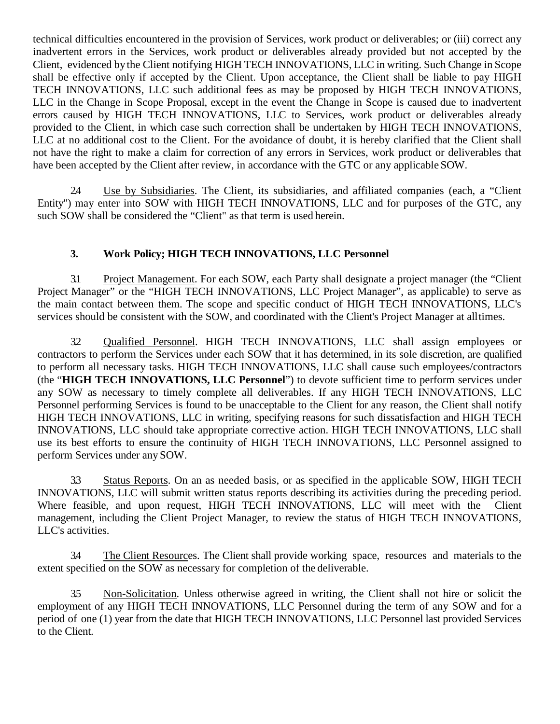technical difficulties encountered in the provision of Services, work product or deliverables; or (iii) correct any inadvertent errors in the Services, work product or deliverables already provided but not accepted by the Client, evidenced by the Client notifying HIGH TECH INNOVATIONS, LLC in writing. Such Change in Scope shall be effective only if accepted by the Client. Upon acceptance, the Client shall be liable to pay HIGH TECH INNOVATIONS, LLC such additional fees as may be proposed by HIGH TECH INNOVATIONS, LLC in the Change in Scope Proposal, except in the event the Change in Scope is caused due to inadvertent errors caused by HIGH TECH INNOVATIONS, LLC to Services, work product or deliverables already provided to the Client, in which case such correction shall be undertaken by HIGH TECH INNOVATIONS, LLC at no additional cost to the Client. For the avoidance of doubt, it is hereby clarified that the Client shall not have the right to make a claim for correction of any errors in Services, work product or deliverables that have been accepted by the Client after review, in accordance with the GTC or any applicable SOW.

2.4 Use by Subsidiaries. The Client, its subsidiaries, and affiliated companies (each, a "Client Entity") may enter into SOW with HIGH TECH INNOVATIONS, LLC and for purposes of the GTC, any such SOW shall be considered the "Client" as that term is used herein.

## **3. Work Policy; HIGH TECH INNOVATIONS, LLC Personnel**

3.1 Project Management. For each SOW, each Party shall designate a project manager (the "Client Project Manager" or the "HIGH TECH INNOVATIONS, LLC Project Manager", as applicable) to serve as the main contact between them. The scope and specific conduct of HIGH TECH INNOVATIONS, LLC's services should be consistent with the SOW, and coordinated with the Client's Project Manager at alltimes.

3.2 Qualified Personnel. HIGH TECH INNOVATIONS, LLC shall assign employees or contractors to perform the Services under each SOW that it has determined, in its sole discretion, are qualified to perform all necessary tasks. HIGH TECH INNOVATIONS, LLC shall cause such employees/contractors (the "**HIGH TECH INNOVATIONS, LLC Personnel**") to devote sufficient time to perform services under any SOW as necessary to timely complete all deliverables. If any HIGH TECH INNOVATIONS, LLC Personnel performing Services is found to be unacceptable to the Client for any reason, the Client shall notify HIGH TECH INNOVATIONS, LLC in writing, specifying reasons for such dissatisfaction and HIGH TECH INNOVATIONS, LLC should take appropriate corrective action. HIGH TECH INNOVATIONS, LLC shall use its best efforts to ensure the continuity of HIGH TECH INNOVATIONS, LLC Personnel assigned to perform Services under any SOW.

3.3 Status Reports. On an as needed basis, or as specified in the applicable SOW, HIGH TECH INNOVATIONS, LLC will submit written status reports describing its activities during the preceding period. Where feasible, and upon request, HIGH TECH INNOVATIONS, LLC will meet with the Client management, including the Client Project Manager, to review the status of HIGH TECH INNOVATIONS, LLC's activities.

3.4 The Client Resources. The Client shall provide working space, resources and materials to the extent specified on the SOW as necessary for completion of the deliverable.

3.5 Non-Solicitation. Unless otherwise agreed in writing, the Client shall not hire or solicit the employment of any HIGH TECH INNOVATIONS, LLC Personnel during the term of any SOW and for a period of one (1) year from the date that HIGH TECH INNOVATIONS, LLC Personnel last provided Services to the Client.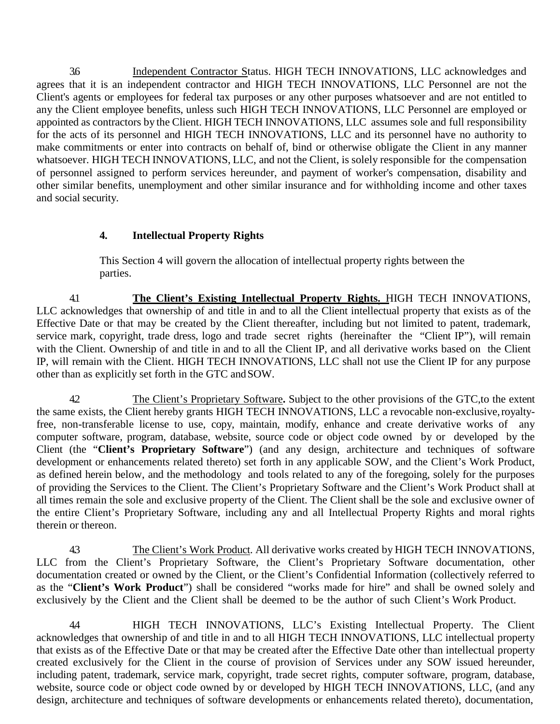3.6 Independent Contractor Status. HIGH TECH INNOVATIONS, LLC acknowledges and agrees that it is an independent contractor and HIGH TECH INNOVATIONS, LLC Personnel are not the Client's agents or employees for federal tax purposes or any other purposes whatsoever and are not entitled to any the Client employee benefits, unless such HIGH TECH INNOVATIONS, LLC Personnel are employed or appointed as contractors by the Client. HIGH TECH INNOVATIONS, LLC assumes sole and full responsibility for the acts of its personnel and HIGH TECH INNOVATIONS, LLC and its personnel have no authority to make commitments or enter into contracts on behalf of, bind or otherwise obligate the Client in any manner whatsoever. HIGH TECH INNOVATIONS, LLC, and not the Client, is solely responsible for the compensation of personnel assigned to perform services hereunder, and payment of worker's compensation, disability and other similar benefits, unemployment and other similar insurance and for withholding income and other taxes and social security.

## **4. Intellectual Property Rights**

This Section 4 will govern the allocation of intellectual property rights between the parties.

4.1 **The Client's Existing Intellectual Property Rights.** HIGH TECH INNOVATIONS, LLC acknowledges that ownership of and title in and to all the Client intellectual property that exists as of the Effective Date or that may be created by the Client thereafter, including but not limited to patent, trademark, service mark, copyright, trade dress, logo and trade secret rights (hereinafter the "Client IP"), will remain with the Client. Ownership of and title in and to all the Client IP, and all derivative works based on the Client IP, will remain with the Client. HIGH TECH INNOVATIONS, LLC shall not use the Client IP for any purpose other than as explicitly set forth in the GTC andSOW.

4.2 The Client's Proprietary Software**.** Subject to the other provisions of the GTC,to the extent the same exists, the Client hereby grants HIGH TECH INNOVATIONS, LLC a revocable non-exclusive,royaltyfree, non-transferable license to use, copy, maintain, modify, enhance and create derivative works of any computer software, program, database, website, source code or object code owned by or developed by the Client (the "**Client's Proprietary Software**") (and any design, architecture and techniques of software development or enhancements related thereto) set forth in any applicable SOW, and the Client's Work Product, as defined herein below, and the methodology and tools related to any of the foregoing, solely for the purposes of providing the Services to the Client. The Client's Proprietary Software and the Client's Work Product shall at all times remain the sole and exclusive property of the Client. The Client shall be the sole and exclusive owner of the entire Client's Proprietary Software, including any and all Intellectual Property Rights and moral rights therein or thereon.

4.3 The Client's Work Product. All derivative works created by HIGH TECH INNOVATIONS, LLC from the Client's Proprietary Software, the Client's Proprietary Software documentation, other documentation created or owned by the Client, or the Client's Confidential Information (collectively referred to as the "**Client's Work Product**") shall be considered "works made for hire" and shall be owned solely and exclusively by the Client and the Client shall be deemed to be the author of such Client's Work Product.

4.4 HIGH TECH INNOVATIONS, LLC's Existing Intellectual Property. The Client acknowledges that ownership of and title in and to all HIGH TECH INNOVATIONS, LLC intellectual property that exists as of the Effective Date or that may be created after the Effective Date other than intellectual property created exclusively for the Client in the course of provision of Services under any SOW issued hereunder, including patent, trademark, service mark, copyright, trade secret rights, computer software, program, database, website, source code or object code owned by or developed by HIGH TECH INNOVATIONS, LLC, (and any design, architecture and techniques of software developments or enhancements related thereto), documentation,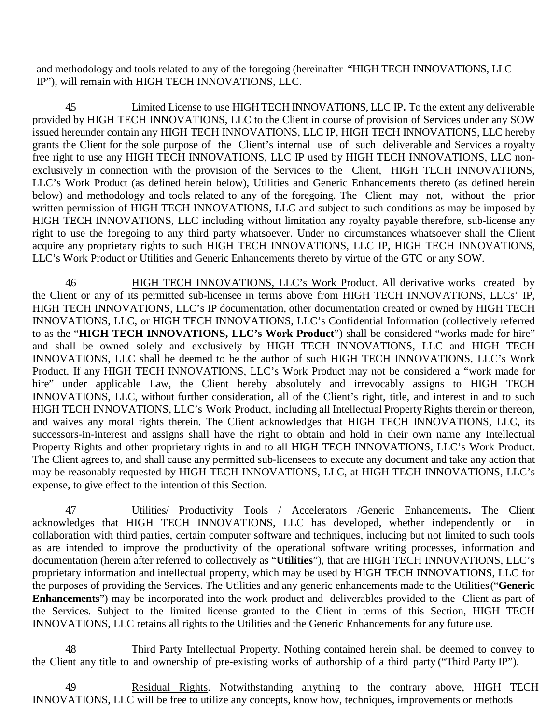and methodology and tools related to any of the foregoing (hereinafter "HIGH TECH INNOVATIONS, LLC IP"), will remain with HIGH TECH INNOVATIONS, LLC.

4.5 Limited License to use HIGH TECH INNOVATIONS, LLC IP**.** To the extent any deliverable provided by HIGH TECH INNOVATIONS, LLC to the Client in course of provision of Services under any SOW issued hereunder contain any HIGH TECH INNOVATIONS, LLC IP, HIGH TECH INNOVATIONS, LLC hereby grants the Client for the sole purpose of the Client's internal use of such deliverable and Services a royalty free right to use any HIGH TECH INNOVATIONS, LLC IP used by HIGH TECH INNOVATIONS, LLC nonexclusively in connection with the provision of the Services to the Client, HIGH TECH INNOVATIONS, LLC's Work Product (as defined herein below), Utilities and Generic Enhancements thereto (as defined herein below) and methodology and tools related to any of the foregoing. The Client may not, without the prior written permission of HIGH TECH INNOVATIONS, LLC and subject to such conditions as may be imposed by HIGH TECH INNOVATIONS, LLC including without limitation any royalty payable therefore, sub-license any right to use the foregoing to any third party whatsoever. Under no circumstances whatsoever shall the Client acquire any proprietary rights to such HIGH TECH INNOVATIONS, LLC IP, HIGH TECH INNOVATIONS, LLC's Work Product or Utilities and Generic Enhancements thereto by virtue of the GTC or any SOW.

4.6 HIGH TECH INNOVATIONS, LLC's Work Product. All derivative works created by the Client or any of its permitted sub-licensee in terms above from HIGH TECH INNOVATIONS, LLCs' IP, HIGH TECH INNOVATIONS, LLC's IP documentation, other documentation created or owned by HIGH TECH INNOVATIONS, LLC, or HIGH TECH INNOVATIONS, LLC's Confidential Information (collectively referred to as the "**HIGH TECH INNOVATIONS, LLC's Work Product**") shall be considered "works made for hire" and shall be owned solely and exclusively by HIGH TECH INNOVATIONS, LLC and HIGH TECH INNOVATIONS, LLC shall be deemed to be the author of such HIGH TECH INNOVATIONS, LLC's Work Product. If any HIGH TECH INNOVATIONS, LLC's Work Product may not be considered a "work made for hire" under applicable Law, the Client hereby absolutely and irrevocably assigns to HIGH TECH INNOVATIONS, LLC, without further consideration, all of the Client's right, title, and interest in and to such HIGH TECH INNOVATIONS, LLC's Work Product, including all Intellectual Property Rights therein or thereon, and waives any moral rights therein. The Client acknowledges that HIGH TECH INNOVATIONS, LLC, its successors-in-interest and assigns shall have the right to obtain and hold in their own name any Intellectual Property Rights and other proprietary rights in and to all HIGH TECH INNOVATIONS, LLC's Work Product. The Client agrees to, and shall cause any permitted sub-licensees to execute any document and take any action that may be reasonably requested by HIGH TECH INNOVATIONS, LLC, at HIGH TECH INNOVATIONS, LLC's expense, to give effect to the intention of this Section.

4.7 Utilities/ Productivity Tools / Accelerators /Generic Enhancements**.** The Client acknowledges that HIGH TECH INNOVATIONS, LLC has developed, whether independently or in collaboration with third parties, certain computer software and techniques, including but not limited to such tools as are intended to improve the productivity of the operational software writing processes, information and documentation (herein after referred to collectively as "**Utilities**"), that are HIGH TECH INNOVATIONS, LLC's proprietary information and intellectual property, which may be used by HIGH TECH INNOVATIONS, LLC for the purposes of providing the Services. The Utilities and any generic enhancements made to the Utilities("**Generic Enhancements**") may be incorporated into the work product and deliverables provided to the Client as part of the Services. Subject to the limited license granted to the Client in terms of this Section, HIGH TECH INNOVATIONS, LLC retains all rights to the Utilities and the Generic Enhancements for any future use.

4.8 Third Party Intellectual Property. Nothing contained herein shall be deemed to convey to the Client any title to and ownership of pre-existing works of authorship of a third party ("Third Party IP").

4.9 Residual Rights. Notwithstanding anything to the contrary above, HIGH TECH INNOVATIONS, LLC will be free to utilize any concepts, know how, techniques, improvements or methods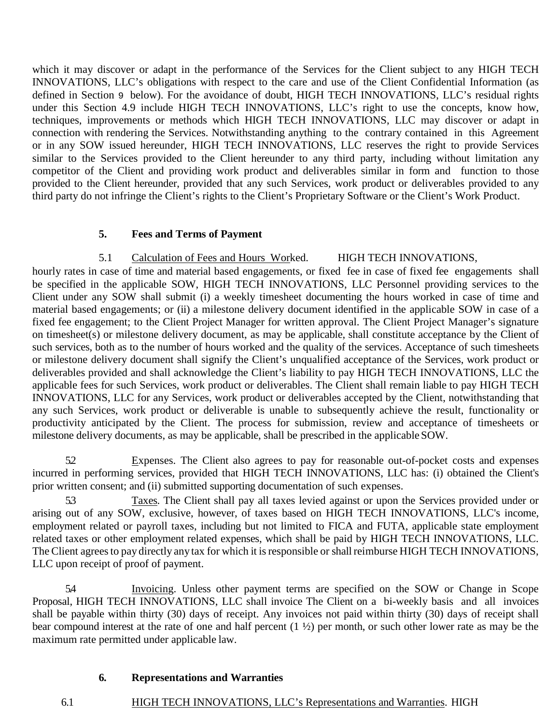which it may discover or adapt in the performance of the Services for the Client subject to any HIGH TECH INNOVATIONS, LLC's obligations with respect to the care and use of the Client Confidential Information (as defined in Section 9 below). For the avoidance of doubt, HIGH TECH INNOVATIONS, LLC's residual rights under this Section 4.9 include HIGH TECH INNOVATIONS, LLC's right to use the concepts, know how, techniques, improvements or methods which HIGH TECH INNOVATIONS, LLC may discover or adapt in connection with rendering the Services. Notwithstanding anything to the contrary contained in this Agreement or in any SOW issued hereunder, HIGH TECH INNOVATIONS, LLC reserves the right to provide Services similar to the Services provided to the Client hereunder to any third party, including without limitation any competitor of the Client and providing work product and deliverables similar in form and function to those provided to the Client hereunder, provided that any such Services, work product or deliverables provided to any third party do not infringe the Client's rights to the Client's Proprietary Software or the Client's Work Product.

## **5. Fees and Terms of Payment**

5.1 Calculation of Fees and Hours Worked. HIGH TECH INNOVATIONS,

hourly rates in case of time and material based engagements, or fixed fee in case of fixed fee engagements shall be specified in the applicable SOW, HIGH TECH INNOVATIONS, LLC Personnel providing services to the Client under any SOW shall submit (i) a weekly timesheet documenting the hours worked in case of time and material based engagements; or (ii) a milestone delivery document identified in the applicable SOW in case of a fixed fee engagement; to the Client Project Manager for written approval. The Client Project Manager's signature on timesheet(s) or milestone delivery document, as may be applicable, shall constitute acceptance by the Client of such services, both as to the number of hours worked and the quality of the services. Acceptance of such timesheets or milestone delivery document shall signify the Client's unqualified acceptance of the Services, work product or deliverables provided and shall acknowledge the Client's liability to pay HIGH TECH INNOVATIONS, LLC the applicable fees for such Services, work product or deliverables. The Client shall remain liable to pay HIGH TECH INNOVATIONS, LLC for any Services, work product or deliverables accepted by the Client, notwithstanding that any such Services, work product or deliverable is unable to subsequently achieve the result, functionality or productivity anticipated by the Client. The process for submission, review and acceptance of timesheets or milestone delivery documents, as may be applicable, shall be prescribed in the applicable SOW.

5.2 Expenses. The Client also agrees to pay for reasonable out-of-pocket costs and expenses incurred in performing services, provided that HIGH TECH INNOVATIONS, LLC has: (i) obtained the Client's prior written consent; and (ii) submitted supporting documentation of such expenses.

5.3 Taxes. The Client shall pay all taxes levied against or upon the Services provided under or arising out of any SOW, exclusive, however, of taxes based on HIGH TECH INNOVATIONS, LLC's income, employment related or payroll taxes, including but not limited to FICA and FUTA, applicable state employment related taxes or other employment related expenses, which shall be paid by HIGH TECH INNOVATIONS, LLC. The Client agrees to pay directly any tax for which it is responsible or shall reimburse HIGH TECH INNOVATIONS, LLC upon receipt of proof of payment.

5.4 Invoicing. Unless other payment terms are specified on the SOW or Change in Scope Proposal, HIGH TECH INNOVATIONS, LLC shall invoice The Client on a bi-weekly basis and all invoices shall be payable within thirty (30) days of receipt. Any invoices not paid within thirty (30) days of receipt shall bear compound interest at the rate of one and half percent (1 ½) per month, or such other lower rate as may be the maximum rate permitted under applicable law.

### **6. Representations and Warranties**

6.1 HIGH TECH INNOVATIONS, LLC's Representations and Warranties. HIGH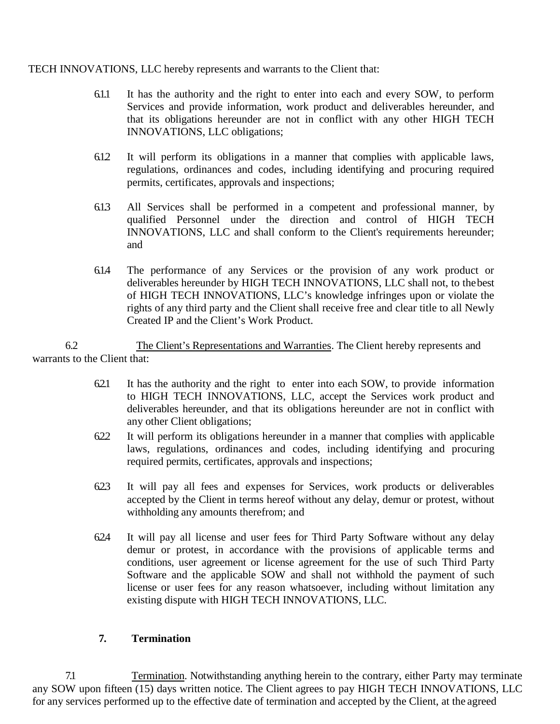#### TECH INNOVATIONS, LLC hereby represents and warrants to the Client that:

- 6.1.1 It has the authority and the right to enter into each and every SOW, to perform Services and provide information, work product and deliverables hereunder, and that its obligations hereunder are not in conflict with any other HIGH TECH INNOVATIONS, LLC obligations;
- 6.1.2 It will perform its obligations in a manner that complies with applicable laws, regulations, ordinances and codes, including identifying and procuring required permits, certificates, approvals and inspections;
- 6.1.3 All Services shall be performed in a competent and professional manner, by qualified Personnel under the direction and control of HIGH TECH INNOVATIONS, LLC and shall conform to the Client's requirements hereunder; and
- 6.1.4 The performance of any Services or the provision of any work product or deliverables hereunder by HIGH TECH INNOVATIONS, LLC shall not, to thebest of HIGH TECH INNOVATIONS, LLC's knowledge infringes upon or violate the rights of any third party and the Client shall receive free and clear title to all Newly Created IP and the Client's Work Product.

6.2 The Client's Representations and Warranties. The Client hereby represents and warrants to the Client that:

- 6.2.1 It has the authority and the right to enter into each SOW, to provide information to HIGH TECH INNOVATIONS, LLC, accept the Services work product and deliverables hereunder, and that its obligations hereunder are not in conflict with any other Client obligations;
- 6.2.2 It will perform its obligations hereunder in a manner that complies with applicable laws, regulations, ordinances and codes, including identifying and procuring required permits, certificates, approvals and inspections;
- 6.2.3 It will pay all fees and expenses for Services, work products or deliverables accepted by the Client in terms hereof without any delay, demur or protest, without withholding any amounts therefrom; and
- 6.2.4 It will pay all license and user fees for Third Party Software without any delay demur or protest, in accordance with the provisions of applicable terms and conditions, user agreement or license agreement for the use of such Third Party Software and the applicable SOW and shall not withhold the payment of such license or user fees for any reason whatsoever, including without limitation any existing dispute with HIGH TECH INNOVATIONS, LLC.

### **7. Termination**

7.1 Termination. Notwithstanding anything herein to the contrary, either Party may terminate any SOW upon fifteen (15) days written notice. The Client agrees to pay HIGH TECH INNOVATIONS, LLC for any services performed up to the effective date of termination and accepted by the Client, at the agreed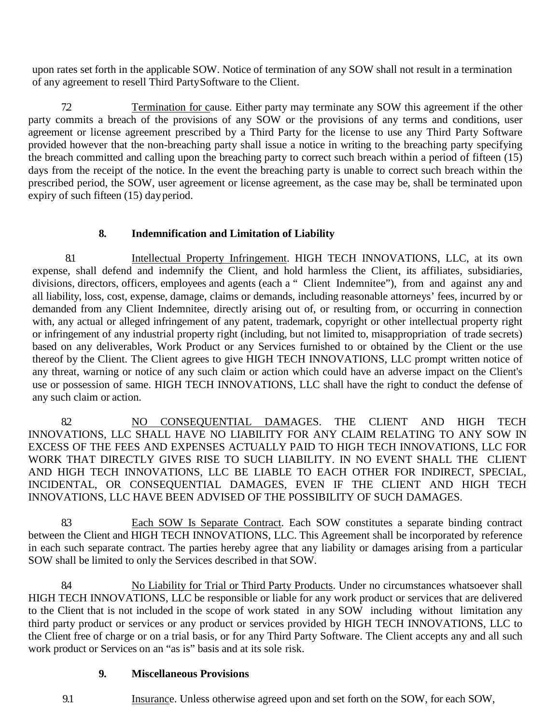upon rates set forth in the applicable SOW. Notice of termination of any SOW shall not result in a termination of any agreement to resell Third PartySoftware to the Client.

7.2 Termination for cause. Either party may terminate any SOW this agreement if the other party commits a breach of the provisions of any SOW or the provisions of any terms and conditions, user agreement or license agreement prescribed by a Third Party for the license to use any Third Party Software provided however that the non-breaching party shall issue a notice in writing to the breaching party specifying the breach committed and calling upon the breaching party to correct such breach within a period of fifteen  $(15)$ days from the receipt of the notice. In the event the breaching party is unable to correct such breach within the prescribed period, the SOW, user agreement or license agreement, as the case may be, shall be terminated upon expiry of such fifteen (15) dayperiod.

### **8. Indemnification and Limitation of Liability**

8.1 Intellectual Property Infringement. HIGH TECH INNOVATIONS, LLC, at its own expense, shall defend and indemnify the Client, and hold harmless the Client, its affiliates, subsidiaries, divisions, directors, officers, employees and agents (each a " Client Indemnitee"), from and against any and all liability, loss, cost, expense, damage, claims or demands, including reasonable attorneys' fees, incurred by or demanded from any Client Indemnitee, directly arising out of, or resulting from, or occurring in connection with, any actual or alleged infringement of any patent, trademark, copyright or other intellectual property right or infringement of any industrial property right (including, but not limited to, misappropriation of trade secrets) based on any deliverables, Work Product or any Services furnished to or obtained by the Client or the use thereof by the Client. The Client agrees to give HIGH TECH INNOVATIONS, LLC prompt written notice of any threat, warning or notice of any such claim or action which could have an adverse impact on the Client's use or possession of same. HIGH TECH INNOVATIONS, LLC shall have the right to conduct the defense of any such claim or action.

8.2 NO CONSEQUENTIAL DAMAGES. THE CLIENT AND HIGH TECH INNOVATIONS, LLC SHALL HAVE NO LIABILITY FOR ANY CLAIM RELATING TO ANY SOW IN EXCESS OF THE FEES AND EXPENSES ACTUALLY PAID TO HIGH TECH INNOVATIONS, LLC FOR WORK THAT DIRECTLY GIVES RISE TO SUCH LIABILITY. IN NO EVENT SHALL THE CLIENT AND HIGH TECH INNOVATIONS, LLC BE LIABLE TO EACH OTHER FOR INDIRECT, SPECIAL, INCIDENTAL, OR CONSEQUENTIAL DAMAGES, EVEN IF THE CLIENT AND HIGH TECH INNOVATIONS, LLC HAVE BEEN ADVISED OF THE POSSIBILITY OF SUCH DAMAGES.

83 Each SOW Is Separate Contract. Each SOW constitutes a separate binding contract between the Client and HIGH TECH INNOVATIONS, LLC. This Agreement shall be incorporated by reference in each such separate contract. The parties hereby agree that any liability or damages arising from a particular SOW shall be limited to only the Services described in that SOW.

8.4 No Liability for Trial or Third Party Products. Under no circumstances whatsoever shall HIGH TECH INNOVATIONS, LLC be responsible or liable for any work product or services that are delivered to the Client that is not included in the scope of work stated in any SOW including without limitation any third party product or services or any product or services provided by HIGH TECH INNOVATIONS, LLC to the Client free of charge or on a trial basis, or for any Third Party Software. The Client accepts any and all such work product or Services on an "as is" basis and at its sole risk.

### **9. Miscellaneous Provisions**

9.1 Insurance. Unless otherwise agreed upon and set forth on the SOW, for each SOW,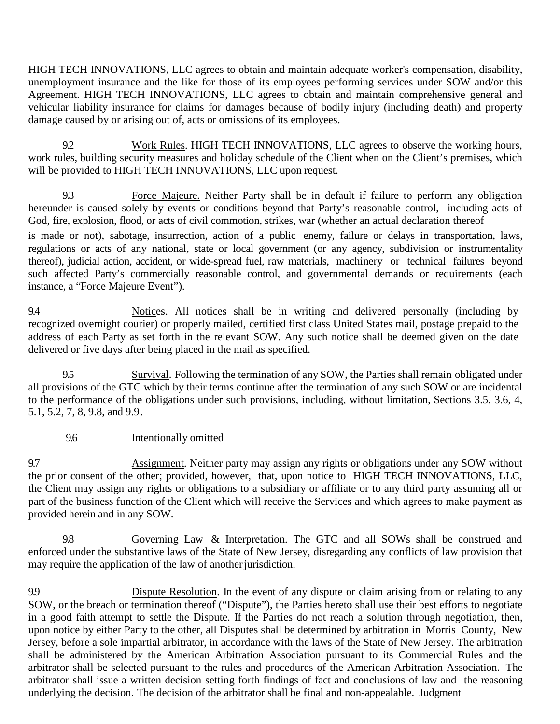HIGH TECH INNOVATIONS, LLC agrees to obtain and maintain adequate worker's compensation, disability, unemployment insurance and the like for those of its employees performing services under SOW and/or this Agreement. HIGH TECH INNOVATIONS, LLC agrees to obtain and maintain comprehensive general and vehicular liability insurance for claims for damages because of bodily injury (including death) and property damage caused by or arising out of, acts or omissions of its employees.

9.2 Work Rules. HIGH TECH INNOVATIONS, LLC agrees to observe the working hours, work rules, building security measures and holiday schedule of the Client when on the Client's premises, which will be provided to HIGH TECH INNOVATIONS, LLC upon request.

9.3 Force Majeure. Neither Party shall be in default if failure to perform any obligation hereunder is caused solely by events or conditions beyond that Party's reasonable control, including acts of God, fire, explosion, flood, or acts of civil commotion, strikes, war (whether an actual declaration thereof

is made or not), sabotage, insurrection, action of a public enemy, failure or delays in transportation, laws, regulations or acts of any national, state or local government (or any agency, subdivision or instrumentality thereof), judicial action, accident, or wide-spread fuel, raw materials, machinery or technical failures beyond such affected Party's commercially reasonable control, and governmental demands or requirements (each instance, a "Force Majeure Event").

9.4 Notices. All notices shall be in writing and delivered personally (including by recognized overnight courier) or properly mailed, certified first class United States mail, postage prepaid to the address of each Party as set forth in the relevant SOW. Any such notice shall be deemed given on the date delivered or five days after being placed in the mail as specified.

9.5 Survival. Following the termination of any SOW, the Parties shall remain obligated under all provisions of the GTC which by their terms continue after the termination of any such SOW or are incidental to the performance of the obligations under such provisions, including, without limitation, Sections 3.5, 3.6, 4, 5.1, 5.2, 7, 8, 9.8, and 9.9.

### 9.6 Intentionally omitted

9.7 Assignment. Neither party may assign any rights or obligations under any SOW without the prior consent of the other; provided, however, that, upon notice to HIGH TECH INNOVATIONS, LLC, the Client may assign any rights or obligations to a subsidiary or affiliate or to any third party assuming all or part of the business function of the Client which will receive the Services and which agrees to make payment as provided herein and in any SOW.

9.8 Governing Law & Interpretation. The GTC and all SOWs shall be construed and enforced under the substantive laws of the State of New Jersey, disregarding any conflicts of law provision that may require the application of the law of another jurisdiction.

9.9 Dispute Resolution. In the event of any dispute or claim arising from or relating to any SOW, or the breach or termination thereof ("Dispute"), the Parties hereto shall use their best efforts to negotiate in a good faith attempt to settle the Dispute. If the Parties do not reach a solution through negotiation, then, upon notice by either Party to the other, all Disputes shall be determined by arbitration in Morris County, New Jersey, before a sole impartial arbitrator, in accordance with the laws of the State of New Jersey. The arbitration shall be administered by the American Arbitration Association pursuant to its Commercial Rules and the arbitrator shall be selected pursuant to the rules and procedures of the American Arbitration Association. The arbitrator shall issue a written decision setting forth findings of fact and conclusions of law and the reasoning underlying the decision. The decision of the arbitrator shall be final and non-appealable. Judgment